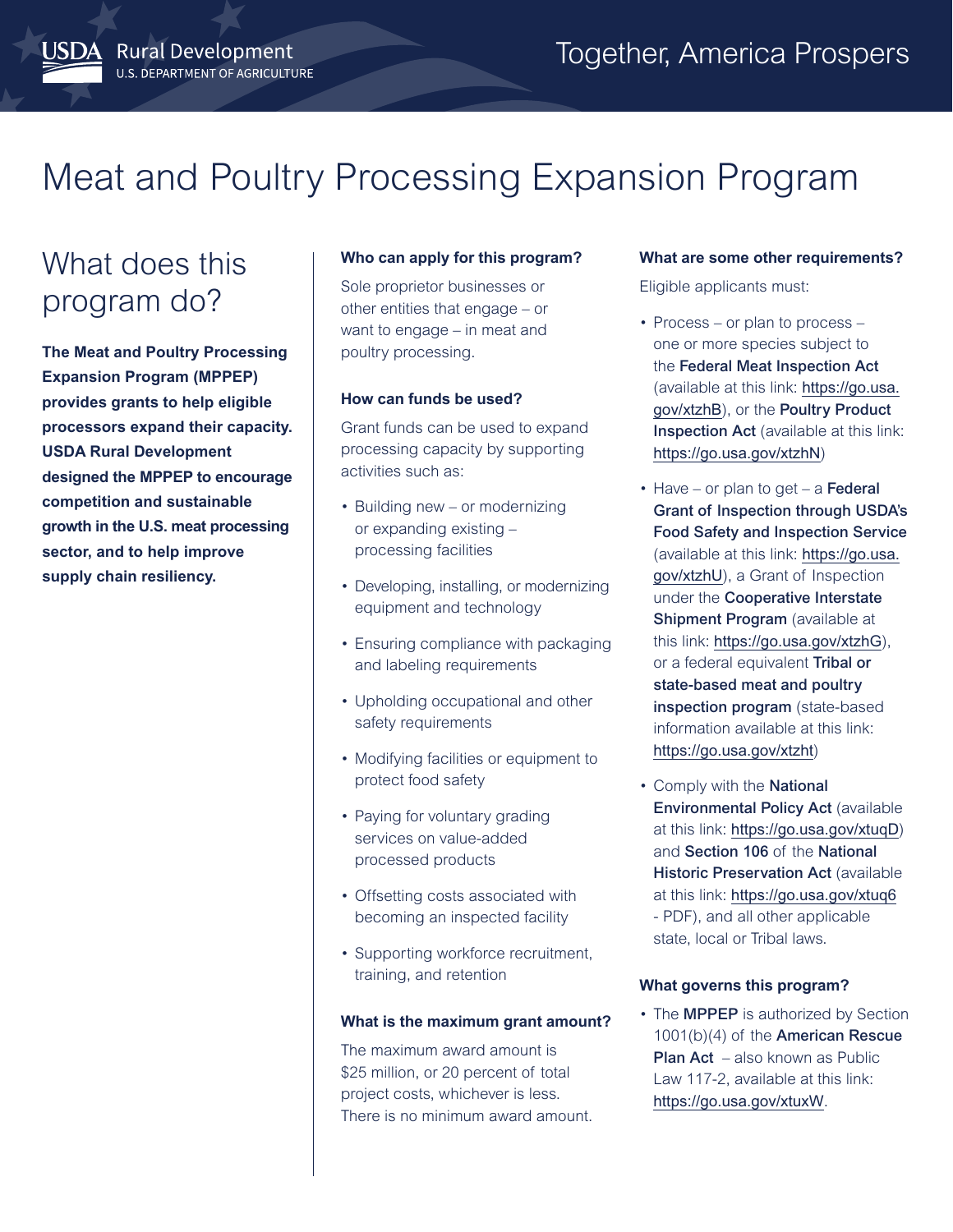# Meat and Poultry Processing Expansion Program

## What does this program do?

JSDA Rural Development

U.S. DEPARTMENT OF AGRICULTURE

**The Meat and Poultry Processing Expansion Program (MPPEP) provides grants to help eligible processors expand their capacity. USDA Rural Development designed the MPPEP to encourage competition and sustainable growth in the U.S. meat processing sector, and to help improve supply chain resiliency.**

### **Who can apply for this program?**

Sole proprietor businesses or other entities that engage – or want to engage – in meat and poultry processing.

#### **How can funds be used?**

Grant funds can be used to expand processing capacity by supporting activities such as:

- Building new or modernizing or expanding existing – processing facilities
- Developing, installing, or modernizing equipment and technology
- Ensuring compliance with packaging and labeling requirements
- Upholding occupational and other safety requirements
- Modifying facilities or equipment to protect food safety
- Paying for voluntary grading services on value-added processed products
- Offsetting costs associated with becoming an inspected facility
- Supporting workforce recruitment, training, and retention

#### **What is the maximum grant amount?**

The maximum award amount is \$25 million, or 20 percent of total project costs, whichever is less. There is no minimum award amount.

#### **What are some other requirements?**

Eligible applicants must:

- Process or plan to process one or more species subject to the Federal Meat Inspection Act (available at this link: [https://go.usa.](https://go.usa.gov/xtzhB) [gov/xtzhB](https://go.usa.gov/xtzhB)), or the Poultry Product Inspection Act (available at this link: <https://go.usa.gov/xtzhN>)
- $\cdot$  Have or plan to get a Federal Grant of Inspection through USDA's Food Safety and Inspection Service (available at this link: [https://go.usa.](https://go.usa.gov/xtzhU) [gov/xtzhU](https://go.usa.gov/xtzhU)), a Grant of Inspection under the Cooperative Interstate Shipment Program (available at this link: <https://go.usa.gov/xtzhG>), or a federal equivalent Tribal or state-based meat and poultry inspection program (state-based information available at this link: <https://go.usa.gov/xtzht>)
- Comply with the National Environmental Policy Act (available at this link: <https://go.usa.gov/xtuqD>) and Section 106 of the National **Historic Preservation Act (available** at this link: <https://go.usa.gov/xtuq6> - PDF), and all other applicable state, local or Tribal laws.

#### **What governs this program?**

• The **MPPEP** is authorized by Section 1001(b)(4) of the American Rescue Plan Act – also known as Public Law 117-2, available at this link: https://go.usa.gov/xtuxW.